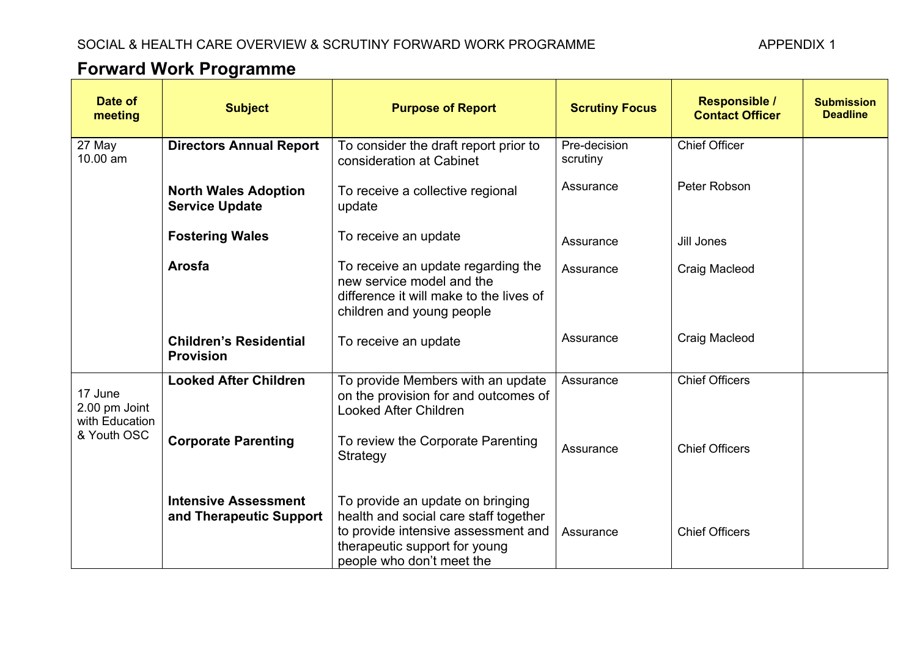## **Forward Work Programme**

| <b>Forward Work Programme</b>                             |                                                        |                                                                                                                                                                                |                          |                                                |                                      |  |
|-----------------------------------------------------------|--------------------------------------------------------|--------------------------------------------------------------------------------------------------------------------------------------------------------------------------------|--------------------------|------------------------------------------------|--------------------------------------|--|
| Date of<br>meeting                                        | <b>Subject</b>                                         | <b>Purpose of Report</b>                                                                                                                                                       | <b>Scrutiny Focus</b>    | <b>Responsible /</b><br><b>Contact Officer</b> | <b>Submission</b><br><b>Deadline</b> |  |
| 27 May<br>10.00 am                                        | <b>Directors Annual Report</b>                         | To consider the draft report prior to<br>consideration at Cabinet                                                                                                              | Pre-decision<br>scrutiny | <b>Chief Officer</b>                           |                                      |  |
|                                                           | <b>North Wales Adoption</b><br><b>Service Update</b>   | To receive a collective regional<br>update                                                                                                                                     | Assurance                | Peter Robson                                   |                                      |  |
|                                                           | <b>Fostering Wales</b>                                 | To receive an update                                                                                                                                                           | Assurance                | Jill Jones                                     |                                      |  |
|                                                           | Arosfa                                                 | To receive an update regarding the<br>new service model and the<br>difference it will make to the lives of<br>children and young people                                        | Assurance                | Craig Macleod                                  |                                      |  |
|                                                           | <b>Children's Residential</b><br><b>Provision</b>      | To receive an update                                                                                                                                                           | Assurance                | Craig Macleod                                  |                                      |  |
| 17 June<br>2.00 pm Joint<br>with Education<br>& Youth OSC | <b>Looked After Children</b>                           | To provide Members with an update<br>on the provision for and outcomes of<br><b>Looked After Children</b>                                                                      | Assurance                | <b>Chief Officers</b>                          |                                      |  |
|                                                           | <b>Corporate Parenting</b>                             | To review the Corporate Parenting<br>Strategy                                                                                                                                  | Assurance                | <b>Chief Officers</b>                          |                                      |  |
|                                                           | <b>Intensive Assessment</b><br>and Therapeutic Support | To provide an update on bringing<br>health and social care staff together<br>to provide intensive assessment and<br>therapeutic support for young<br>people who don't meet the | Assurance                | <b>Chief Officers</b>                          |                                      |  |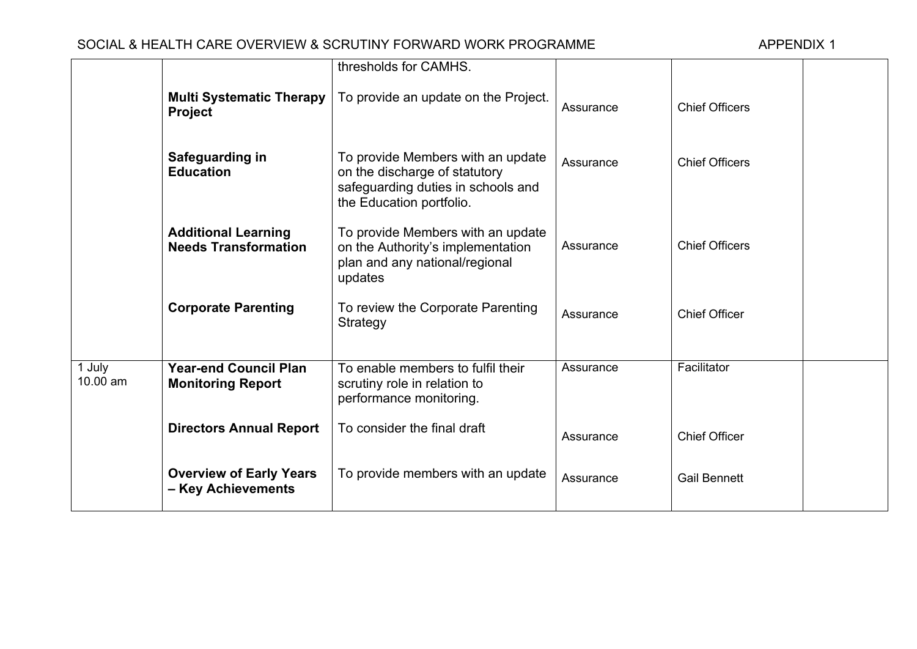## SOCIAL & HEALTH CARE OVERVIEW & SCRUTINY FORWARD WORK PROGRAMME APPENDIX 1

|                    |                                                           | thresholds for CAMHS.                                                                                                                |           |                       |  |
|--------------------|-----------------------------------------------------------|--------------------------------------------------------------------------------------------------------------------------------------|-----------|-----------------------|--|
|                    | <b>Multi Systematic Therapy</b><br><b>Project</b>         | To provide an update on the Project.                                                                                                 | Assurance | <b>Chief Officers</b> |  |
|                    | Safeguarding in<br><b>Education</b>                       | To provide Members with an update<br>on the discharge of statutory<br>safeguarding duties in schools and<br>the Education portfolio. | Assurance | <b>Chief Officers</b> |  |
|                    | <b>Additional Learning</b><br><b>Needs Transformation</b> | To provide Members with an update<br>on the Authority's implementation<br>plan and any national/regional<br>updates                  | Assurance | <b>Chief Officers</b> |  |
|                    | <b>Corporate Parenting</b>                                | To review the Corporate Parenting<br>Strategy                                                                                        | Assurance | <b>Chief Officer</b>  |  |
| 1 July<br>10.00 am | <b>Year-end Council Plan</b><br><b>Monitoring Report</b>  | To enable members to fulfil their<br>scrutiny role in relation to<br>performance monitoring.                                         | Assurance | Facilitator           |  |
|                    | <b>Directors Annual Report</b>                            | To consider the final draft                                                                                                          | Assurance | <b>Chief Officer</b>  |  |
|                    | <b>Overview of Early Years</b><br>- Key Achievements      | To provide members with an update                                                                                                    | Assurance | <b>Gail Bennett</b>   |  |